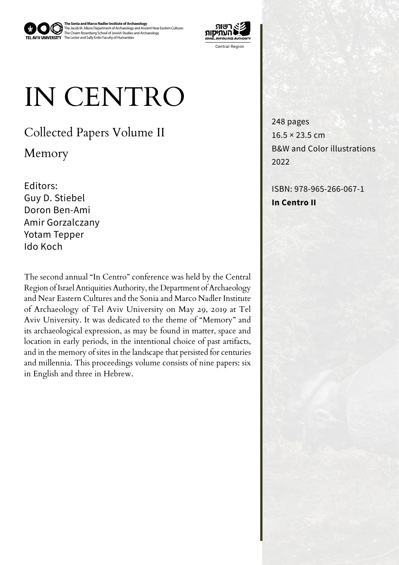

The Jacob M. Alkow Department of Archaeology and Ancient Near Eastern Cultures<br>The Chaim Rosenberg School of Jewish Studies and Archaeology<br>The Lester and Sally Entin Faculty of Humanities **The Sonia and Marco Nadler Institute of Archaeology** 



## IN CENTRO

Collected Papers Volume II

Memory

Editors: Guy D. Stiebel Doron Ben-Ami Gorzalczany Amir Yotam Tepper Ido Koch

The second annual "In Centro" conference was held by the Central Region of Israel Antiquities Authority, the Department of Archaeology and Near Eastern Cultures and the Sonia and Marco Nadler Institute of Archaeology of Tel Aviv University on May 29, 2019 at Tel Aviv University. It was dedicated to the theme of "Memory" and its archaeological expression, as may be found in matter, space and location in early periods, in the intentional choice of past artifacts, and in the memory of sites in the landscape that persisted for centuries and millennia. This proceedings volume consists of nine papers: six in English and three in Hebrew.

248 pages  $16.5 \times 23.5$  cm B&W and Color illustrations 2022

ISBN: 978-965-266-067-1 **In Centro II**